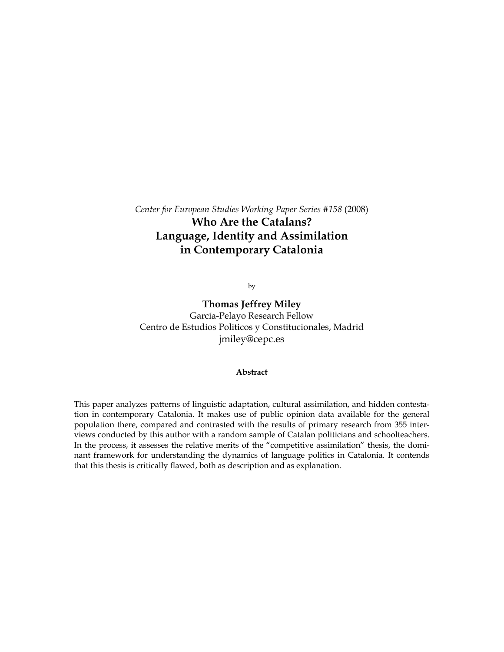# *Center for European Studies Working Paper Series #158* (2008) **Who Are the Catalans? Language, Identity and Assimilation in Contemporary Catalonia**

by

**Thomas Jeffrey Miley**  García-Pelayo Research Fellow Centro de Estudios Politicos y Constitucionales, Madrid jmiley@cepc.es

### **Abstract**

This paper analyzes patterns of linguistic adaptation, cultural assimilation, and hidden contestation in contemporary Catalonia. It makes use of public opinion data available for the general population there, compared and contrasted with the results of primary research from 355 interviews conducted by this author with a random sample of Catalan politicians and schoolteachers. In the process, it assesses the relative merits of the "competitive assimilation" thesis, the dominant framework for understanding the dynamics of language politics in Catalonia. It contends that this thesis is critically flawed, both as description and as explanation.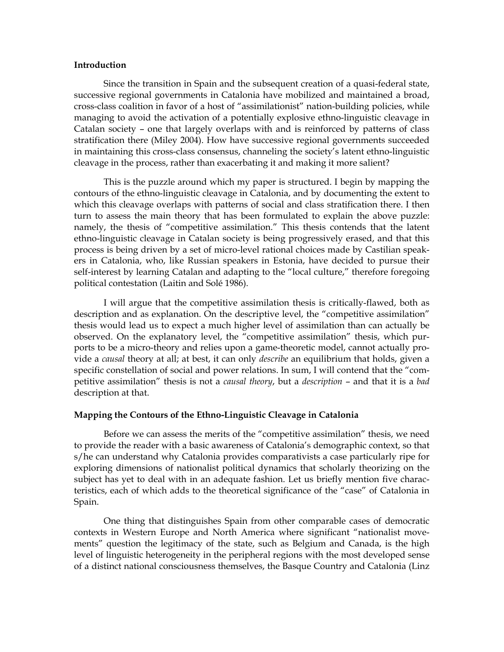## **Introduction**

 Since the transition in Spain and the subsequent creation of a quasi-federal state, successive regional governments in Catalonia have mobilized and maintained a broad, cross-class coalition in favor of a host of "assimilationist" nation-building policies, while managing to avoid the activation of a potentially explosive ethno-linguistic cleavage in Catalan society – one that largely overlaps with and is reinforced by patterns of class stratification there (Miley 2004). How have successive regional governments succeeded in maintaining this cross-class consensus, channeling the society's latent ethno-linguistic cleavage in the process, rather than exacerbating it and making it more salient?

 This is the puzzle around which my paper is structured. I begin by mapping the contours of the ethno-linguistic cleavage in Catalonia, and by documenting the extent to which this cleavage overlaps with patterns of social and class stratification there. I then turn to assess the main theory that has been formulated to explain the above puzzle: namely, the thesis of "competitive assimilation." This thesis contends that the latent ethno-linguistic cleavage in Catalan society is being progressively erased, and that this process is being driven by a set of micro-level rational choices made by Castilian speakers in Catalonia, who, like Russian speakers in Estonia, have decided to pursue their self-interest by learning Catalan and adapting to the "local culture," therefore foregoing political contestation (Laitin and Solé 1986).

 I will argue that the competitive assimilation thesis is critically-flawed, both as description and as explanation. On the descriptive level, the "competitive assimilation" thesis would lead us to expect a much higher level of assimilation than can actually be observed. On the explanatory level, the "competitive assimilation" thesis, which purports to be a micro-theory and relies upon a game-theoretic model, cannot actually provide a *causal* theory at all; at best, it can only *describe* an equilibrium that holds, given a specific constellation of social and power relations. In sum, I will contend that the "competitive assimilation" thesis is not a *causal theory*, but a *description* – and that it is a *bad*  description at that.

# **Mapping the Contours of the Ethno-Linguistic Cleavage in Catalonia**

 Before we can assess the merits of the "competitive assimilation" thesis, we need to provide the reader with a basic awareness of Catalonia's demographic context, so that s/he can understand why Catalonia provides comparativists a case particularly ripe for exploring dimensions of nationalist political dynamics that scholarly theorizing on the subject has yet to deal with in an adequate fashion. Let us briefly mention five characteristics, each of which adds to the theoretical significance of the "case" of Catalonia in Spain.

One thing that distinguishes Spain from other comparable cases of democratic contexts in Western Europe and North America where significant "nationalist movements" question the legitimacy of the state, such as Belgium and Canada, is the high level of linguistic heterogeneity in the peripheral regions with the most developed sense of a distinct national consciousness themselves, the Basque Country and Catalonia (Linz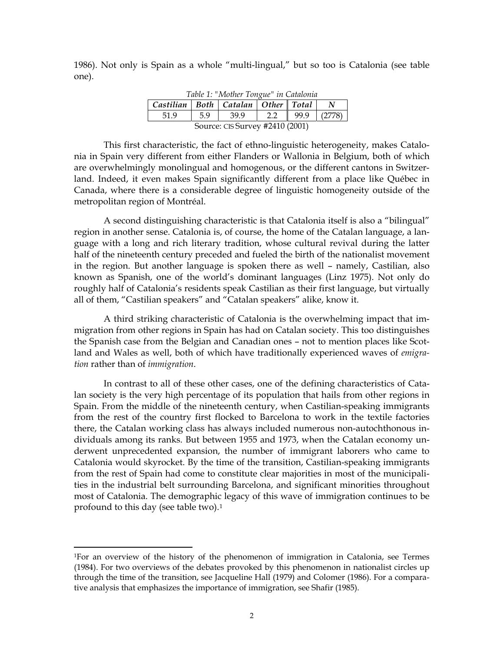1986). Not only is Spain as a whole "multi-lingual," but so too is Catalonia (see table one).

| Table 1: "Mother Tongue" in Catalonia      |                                 |      |     |              |        |  |  |  |  |
|--------------------------------------------|---------------------------------|------|-----|--------------|--------|--|--|--|--|
| Castilian   Both   Catalan   Other   Total |                                 |      |     |              |        |  |  |  |  |
| 51.9                                       | 5.9                             | 39.9 | 2.2 | $\vert$ 99.9 | (2778) |  |  |  |  |
|                                            | Source: CIS Survey #2410 (2001) |      |     |              |        |  |  |  |  |

This first characteristic, the fact of ethno-linguistic heterogeneity, makes Catalonia in Spain very different from either Flanders or Wallonia in Belgium, both of which are overwhelmingly monolingual and homogenous, or the different cantons in Switzerland. Indeed, it even makes Spain significantly different from a place like Québec in Canada, where there is a considerable degree of linguistic homogeneity outside of the metropolitan region of Montréal.

 A second distinguishing characteristic is that Catalonia itself is also a "bilingual" region in another sense. Catalonia is, of course, the home of the Catalan language, a language with a long and rich literary tradition, whose cultural revival during the latter half of the nineteenth century preceded and fueled the birth of the nationalist movement in the region. But another language is spoken there as well – namely, Castilian, also known as Spanish, one of the world's dominant languages (Linz 1975). Not only do roughly half of Catalonia's residents speak Castilian as their first language, but virtually all of them, "Castilian speakers" and "Catalan speakers" alike, know it.

 A third striking characteristic of Catalonia is the overwhelming impact that immigration from other regions in Spain has had on Catalan society. This too distinguishes the Spanish case from the Belgian and Canadian ones – not to mention places like Scotland and Wales as well, both of which have traditionally experienced waves of *emigration* rather than of *immigration*.

 In contrast to all of these other cases, one of the defining characteristics of Catalan society is the very high percentage of its population that hails from other regions in Spain. From the middle of the nineteenth century, when Castilian-speaking immigrants from the rest of the country first flocked to Barcelona to work in the textile factories there, the Catalan working class has always included numerous non-autochthonous individuals among its ranks. But between 1955 and 1973, when the Catalan economy underwent unprecedented expansion, the number of immigrant laborers who came to Catalonia would skyrocket. By the time of the transition, Castilian-speaking immigrants from the rest of Spain had come to constitute clear majorities in most of the municipalities in the industrial belt surrounding Barcelona, and significant minorities throughout most of Catalonia. The demographic legacy of this wave of immigration continues to be profound to this day (see table two).[1](#page-2-0)

<span id="page-2-0"></span><sup>1</sup>For an overview of the history of the phenomenon of immigration in Catalonia, see Termes (1984). For two overviews of the debates provoked by this phenomenon in nationalist circles up through the time of the transition, see Jacqueline Hall (1979) and Colomer (1986). For a comparative analysis that emphasizes the importance of immigration, see Shafir (1985).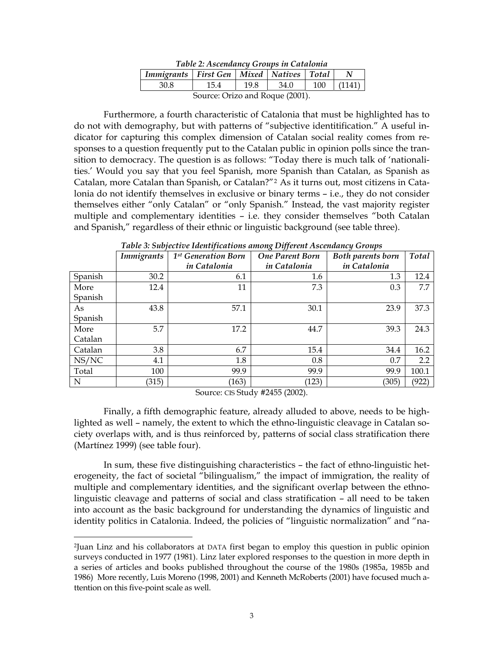| Table 2: Ascendancy Groups in Catalonia                                                                   |      |      |      |     |        |  |  |  |  |
|-----------------------------------------------------------------------------------------------------------|------|------|------|-----|--------|--|--|--|--|
| Immigrants   First Gen   Mixed   Natives   Total  <br>N                                                   |      |      |      |     |        |  |  |  |  |
| 30.8                                                                                                      | 15.4 | 19.8 | 34.0 | 100 | (1141) |  |  |  |  |
| $\mathcal{L}_{\text{OIIICO}}$ $\bigcap$ $\mathcal{L}_{\text{CO}}$ and $\mathcal{R}_{\text{OIIIO}}$ (2001) |      |      |      |     |        |  |  |  |  |

Source: Orizo and Roque (2001).

 Furthermore, a fourth characteristic of Catalonia that must be highlighted has to do not with demography, but with patterns of "subjective identitification." A useful indicator for capturing this complex dimension of Catalan social reality comes from responses to a question frequently put to the Catalan public in opinion polls since the transition to democracy. The question is as follows: "Today there is much talk of 'nationalities.' Would you say that you feel Spanish, more Spanish than Catalan, as Spanish as Catalan, more Catalan than Spanish, or Catalan?"[2](#page-3-0) As it turns out, most citizens in Catalonia do not identify themselves in exclusive or binary terms – i.e., they do not consider themselves either "only Catalan" or "only Spanish." Instead, the vast majority register multiple and complementary identities – i.e. they consider themselves "both Catalan and Spanish," regardless of their ethnic or linguistic background (see table three).

|         | <b>Immigrants</b> | 1 <sup>st</sup> Generation Born<br>in Catalonia | <b>One Parent Born</b><br>in Catalonia | Both parents born<br>Total<br>in Catalonia |       |
|---------|-------------------|-------------------------------------------------|----------------------------------------|--------------------------------------------|-------|
| Spanish | 30.2              | 6.1                                             | 1.6                                    | 1.3                                        | 12.4  |
| More    | 12.4              | 11                                              | 7.3                                    | 0.3                                        | 7.7   |
| Spanish |                   |                                                 |                                        |                                            |       |
| As      | 43.8              | 57.1                                            | 30.1                                   | 23.9                                       | 37.3  |
| Spanish |                   |                                                 |                                        |                                            |       |
| More    | 5.7               | 17.2                                            | 44.7                                   | 39.3                                       | 24.3  |
| Catalan |                   |                                                 |                                        |                                            |       |
| Catalan | 3.8               | 6.7                                             | 15.4                                   | 34.4                                       | 16.2  |
| NS/NC   | 4.1               | 1.8                                             | 0.8                                    | 0.7                                        | 2.2   |
| Total   | 100               | 99.9                                            | 99.9                                   | 99.9                                       | 100.1 |
| N       | (315)             | (163)                                           | (123)                                  | (305)                                      | (922) |

*Table 3: Subjective Identifications among Different Ascendancy Groups* 

Source: CIS Study #2455 (2002).

 Finally, a fifth demographic feature, already alluded to above, needs to be highlighted as well – namely, the extent to which the ethno-linguistic cleavage in Catalan society overlaps with, and is thus reinforced by, patterns of social class stratification there (Martínez 1999) (see table four).

 In sum, these five distinguishing characteristics – the fact of ethno-linguistic heterogeneity, the fact of societal "bilingualism," the impact of immigration, the reality of multiple and complementary identities, and the significant overlap between the ethnolinguistic cleavage and patterns of social and class stratification – all need to be taken into account as the basic background for understanding the dynamics of linguistic and identity politics in Catalonia. Indeed, the policies of "linguistic normalization" and "na-

<span id="page-3-0"></span><sup>2</sup>Juan Linz and his collaborators at DATA first began to employ this question in public opinion surveys conducted in 1977 (1981). Linz later explored responses to the question in more depth in a series of articles and books published throughout the course of the 1980s (1985a, 1985b and 1986) More recently, Luis Moreno (1998, 2001) and Kenneth McRoberts (2001) have focused much attention on this five-point scale as well.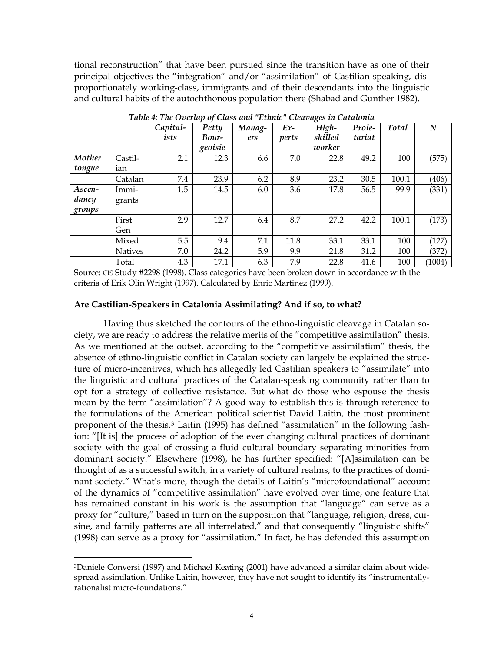tional reconstruction" that have been pursued since the transition have as one of their principal objectives the "integration" and/or "assimilation" of Castilian-speaking, disproportionately working-class, immigrants and of their descendants into the linguistic and cultural habits of the autochthonous population there (Shabad and Gunther 1982).

|        |                | Capital- | Petty   | Manag- | $Ex-$ | High-   | Prole- | Total | N      |
|--------|----------------|----------|---------|--------|-------|---------|--------|-------|--------|
|        |                | ists     | Bour-   | ers    | perts | skilled | tariat |       |        |
|        |                |          | geoisie |        |       | worker  |        |       |        |
| Mother | Castil-        | 2.1      | 12.3    | 6.6    | 7.0   | 22.8    | 49.2   | 100   | (575)  |
| tongue | ian            |          |         |        |       |         |        |       |        |
|        | Catalan        | 7.4      | 23.9    | 6.2    | 8.9   | 23.2    | 30.5   | 100.1 | (406)  |
| Ascen- | Immi-          | 1.5      | 14.5    | 6.0    | 3.6   | 17.8    | 56.5   | 99.9  | (331)  |
| dancy  | grants         |          |         |        |       |         |        |       |        |
| groups |                |          |         |        |       |         |        |       |        |
|        | First          | 2.9      | 12.7    | 6.4    | 8.7   | 27.2    | 42.2   | 100.1 | (173)  |
|        | Gen            |          |         |        |       |         |        |       |        |
|        | Mixed          | 5.5      | 9.4     | 7.1    | 11.8  | 33.1    | 33.1   | 100   | (127)  |
|        | <b>Natives</b> | 7.0      | 24.2    | 5.9    | 9.9   | 21.8    | 31.2   | 100   | (372)  |
|        | Total          | 4.3      | 17.1    | 6.3    | 7.9   | 22.8    | 41.6   | 100   | (1004) |

*Table 4: The Overlap of Class and "Ethnic" Cleavages in Catalonia*

Source: CIS Study #2298 (1998). Class categories have been broken down in accordance with the criteria of Erik Olin Wright (1997). Calculated by Enric Martinez (1999).

# **Are Castilian-Speakers in Catalonia Assimilating? And if so, to what?**

 Having thus sketched the contours of the ethno-linguistic cleavage in Catalan society, we are ready to address the relative merits of the "competitive assimilation" thesis. As we mentioned at the outset, according to the "competitive assimilation" thesis, the absence of ethno-linguistic conflict in Catalan society can largely be explained the structure of micro-incentives, which has allegedly led Castilian speakers to "assimilate" into the linguistic and cultural practices of the Catalan-speaking community rather than to opt for a strategy of collective resistance. But what do those who espouse the thesis mean by the term "assimilation"? A good way to establish this is through reference to the formulations of the American political scientist David Laitin, the most prominent proponent of the thesis.[3](#page-4-0) Laitin (1995) has defined "assimilation" in the following fashion: "[It is] the process of adoption of the ever changing cultural practices of dominant society with the goal of crossing a fluid cultural boundary separating minorities from dominant society." Elsewhere (1998), he has further specified: "[A]ssimilation can be thought of as a successful switch, in a variety of cultural realms, to the practices of dominant society." What's more, though the details of Laitin's "microfoundational" account of the dynamics of "competitive assimilation" have evolved over time, one feature that has remained constant in his work is the assumption that "language" can serve as a proxy for "culture," based in turn on the supposition that "language, religion, dress, cuisine, and family patterns are all interrelated," and that consequently "linguistic shifts" (1998) can serve as a proxy for "assimilation." In fact, he has defended this assumption

<span id="page-4-0"></span><sup>3</sup>Daniele Conversi (1997) and Michael Keating (2001) have advanced a similar claim about widespread assimilation. Unlike Laitin, however, they have not sought to identify its "instrumentallyrationalist micro-foundations."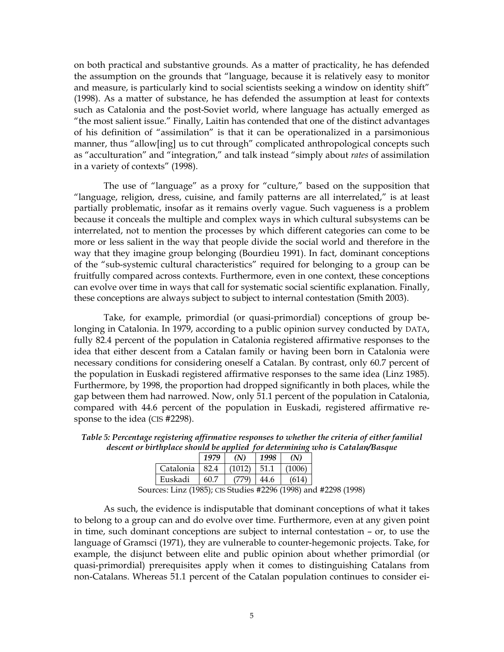on both practical and substantive grounds. As a matter of practicality, he has defended the assumption on the grounds that "language, because it is relatively easy to monitor and measure, is particularly kind to social scientists seeking a window on identity shift" (1998). As a matter of substance, he has defended the assumption at least for contexts such as Catalonia and the post-Soviet world, where language has actually emerged as "the most salient issue." Finally, Laitin has contended that one of the distinct advantages of his definition of "assimilation" is that it can be operationalized in a parsimonious manner, thus "allow[ing] us to cut through" complicated anthropological concepts such as "acculturation" and "integration," and talk instead "simply about *rates* of assimilation in a variety of contexts" (1998).

 The use of "language" as a proxy for "culture," based on the supposition that "language, religion, dress, cuisine, and family patterns are all interrelated," is at least partially problematic, insofar as it remains overly vague. Such vagueness is a problem because it conceals the multiple and complex ways in which cultural subsystems can be interrelated, not to mention the processes by which different categories can come to be more or less salient in the way that people divide the social world and therefore in the way that they imagine group belonging (Bourdieu 1991). In fact, dominant conceptions of the "sub-systemic cultural characteristics" required for belonging to a group can be fruitfully compared across contexts. Furthermore, even in one context, these conceptions can evolve over time in ways that call for systematic social scientific explanation. Finally, these conceptions are always subject to subject to internal contestation (Smith 2003).

 Take, for example, primordial (or quasi-primordial) conceptions of group belonging in Catalonia. In 1979, according to a public opinion survey conducted by DATA, fully 82.4 percent of the population in Catalonia registered affirmative responses to the idea that either descent from a Catalan family or having been born in Catalonia were necessary conditions for considering oneself a Catalan. By contrast, only 60.7 percent of the population in Euskadi registered affirmative responses to the same idea (Linz 1985). Furthermore, by 1998, the proportion had dropped significantly in both places, while the gap between them had narrowed. Now, only 51.1 percent of the population in Catalonia, compared with 44.6 percent of the population in Euskadi, registered affirmative response to the idea (CIS #2298).

|                                                                                                                                                                                                                                                                                                                                            | 1979 | $\gamma$ | 1998  |        |  |
|--------------------------------------------------------------------------------------------------------------------------------------------------------------------------------------------------------------------------------------------------------------------------------------------------------------------------------------------|------|----------|-------|--------|--|
| Catalonia 82.4                                                                                                                                                                                                                                                                                                                             |      | (1012)   | -51.1 | (1006) |  |
| Euskadi                                                                                                                                                                                                                                                                                                                                    | 60.7 |          | 44.6  | (614   |  |
| $\cdots$ $\cdots$ $\cdots$ (100F) $\cdots$ $\cdots$ $\cdots$ $\cdots$ $\cdots$ $\cdots$ $\cdots$ $\cdots$ $\cdots$ $\cdots$ $\cdots$ $\cdots$ $\cdots$ $\cdots$ $\cdots$ $\cdots$ $\cdots$ $\cdots$ $\cdots$ $\cdots$ $\cdots$ $\cdots$ $\cdots$ $\cdots$ $\cdots$ $\cdots$ $\cdots$ $\cdots$ $\cdots$ $\cdots$ $\cdots$ $\cdots$ $\cdots$ |      |          |       |        |  |

*Table 5: Percentage registering affirmative responses to whether the criteria of either familial descent or birthplace should be applied for determining who is Catalan/Basque*

Sources: Linz (1985); CIS Studies #2296 (1998) and #2298 (1998)

 As such, the evidence is indisputable that dominant conceptions of what it takes to belong to a group can and do evolve over time. Furthermore, even at any given point in time, such dominant conceptions are subject to internal contestation – or, to use the language of Gramsci (1971), they are vulnerable to counter-hegemonic projects. Take, for example, the disjunct between elite and public opinion about whether primordial (or quasi-primordial) prerequisites apply when it comes to distinguishing Catalans from non-Catalans. Whereas 51.1 percent of the Catalan population continues to consider ei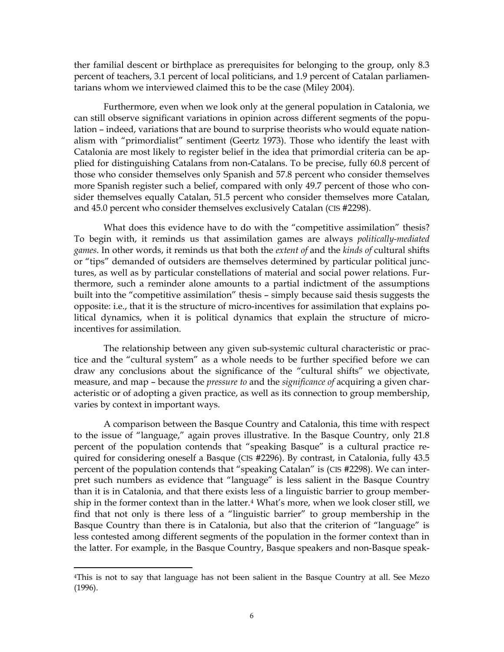ther familial descent or birthplace as prerequisites for belonging to the group, only 8.3 percent of teachers, 3.1 percent of local politicians, and 1.9 percent of Catalan parliamentarians whom we interviewed claimed this to be the case (Miley 2004).

 Furthermore, even when we look only at the general population in Catalonia, we can still observe significant variations in opinion across different segments of the population – indeed, variations that are bound to surprise theorists who would equate nationalism with "primordialist" sentiment (Geertz 1973). Those who identify the least with Catalonia are most likely to register belief in the idea that primordial criteria can be applied for distinguishing Catalans from non-Catalans. To be precise, fully 60.8 percent of those who consider themselves only Spanish and 57.8 percent who consider themselves more Spanish register such a belief, compared with only 49.7 percent of those who consider themselves equally Catalan, 51.5 percent who consider themselves more Catalan, and 45.0 percent who consider themselves exclusively Catalan (CIS #2298).

 What does this evidence have to do with the "competitive assimilation" thesis? To begin with, it reminds us that assimilation games are always *politically-mediated games*. In other words, it reminds us that both the *extent of* and the *kinds of* cultural shifts or "tips" demanded of outsiders are themselves determined by particular political junctures, as well as by particular constellations of material and social power relations. Furthermore, such a reminder alone amounts to a partial indictment of the assumptions built into the "competitive assimilation" thesis – simply because said thesis suggests the opposite: i.e., that it is the structure of micro-incentives for assimilation that explains political dynamics, when it is political dynamics that explain the structure of microincentives for assimilation.

 The relationship between any given sub-systemic cultural characteristic or practice and the "cultural system" as a whole needs to be further specified before we can draw any conclusions about the significance of the "cultural shifts" we objectivate, measure, and map – because the *pressure to* and the *significance of* acquiring a given characteristic or of adopting a given practice, as well as its connection to group membership, varies by context in important ways.

 A comparison between the Basque Country and Catalonia, this time with respect to the issue of "language," again proves illustrative. In the Basque Country, only 21.8 percent of the population contends that "speaking Basque" is a cultural practice required for considering oneself a Basque (CIS #2296). By contrast, in Catalonia, fully 43.5 percent of the population contends that "speaking Catalan" is (CIS #2298). We can interpret such numbers as evidence that "language" is less salient in the Basque Country than it is in Catalonia, and that there exists less of a linguistic barrier to group membership in the former context than in the latter.[4](#page-6-0) What's more, when we look closer still, we find that not only is there less of a "linguistic barrier" to group membership in the Basque Country than there is in Catalonia, but also that the criterion of "language" is less contested among different segments of the population in the former context than in the latter. For example, in the Basque Country, Basque speakers and non-Basque speak-

<span id="page-6-0"></span><sup>4</sup>This is not to say that language has not been salient in the Basque Country at all. See Mezo (1996).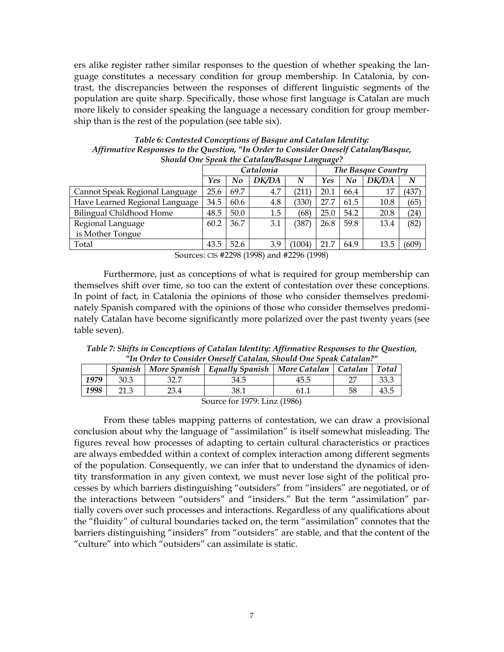ers alike register rather similar responses to the question of whether speaking the language constitutes a necessary condition for group membership. In Catalonia, by contrast, the discrepancies between the responses of different linguistic segments of the population are quite sharp. Specifically, those whose first language is Catalan are much more likely to consider speaking the language a necessary condition for group membership than is the rest of the population (see table six).

| Should One Speak the Catalan/Basque Language? |      |      |           |        |                    |      |       |       |  |  |
|-----------------------------------------------|------|------|-----------|--------|--------------------|------|-------|-------|--|--|
|                                               |      |      | Catalonia |        | The Basque Country |      |       |       |  |  |
|                                               | Yes  | No   | DK/DA     | N      | Yes                | No   | DK/DA | N     |  |  |
| Cannot Speak Regional Language                | 25.6 | 69.7 | 4.7       | (211   | 20.1               | 66.4 |       | (437) |  |  |
| Have Learned Regional Language                | 34.5 | 60.6 | 4.8       | (330)  | 27.7               | 61.5 | 10.8  | (65)  |  |  |
| Bilingual Childhood Home                      | 48.5 | 50.0 | 1.5       | (68)   | 25.0               | 54.2 | 20.8  | (24)  |  |  |
| Regional Language                             | 60.2 | 36.7 | 3.1       | (387   | 26.8               | 59.8 | 13.4  | (82)  |  |  |
| is Mother Tongue                              |      |      |           |        |                    |      |       |       |  |  |
| Total                                         | 43.5 | 52.6 | 3.9       | (1004) | 21.7               | 64.9 | 13.5  | (609) |  |  |

*Table 6: Contested Conceptions of Basque and Catalan Identity: Affirmative Responses to the Question, "In Order to Consider Oneself Catalan/Basque,* 

Sources: CIS #2298 (1998) and #2296 (1998)

 Furthermore, just as conceptions of what is required for group membership can themselves shift over time, so too can the extent of contestation over these conceptions. In point of fact, in Catalonia the opinions of those who consider themselves predominately Spanish compared with the opinions of those who consider themselves predominately Catalan have become significantly more polarized over the past twenty years (see table seven).

*Table 7: Shifts in Conceptions of Catalan Identity: Affirmative Responses to the Question, "In Order to Consider Oneself Catalan, Should One Speak Catalan?"* 

|      | Spanish |      | More Spanish   Equally Spanish   More Catalan   Catalan |        |    | <b>Total</b> |
|------|---------|------|---------------------------------------------------------|--------|----|--------------|
| 1979 | 30.3    | 32.I | 34.5                                                    | 45.5   |    | 33.3         |
| 1998 |         | 23.4 | 38.1                                                    |        | 58 | 43.5         |
|      |         |      | 1000T                                                   | (1001) |    |              |

Source for 1979: Linz (1986)

 From these tables mapping patterns of contestation, we can draw a provisional conclusion about why the language of "assimilation" is itself somewhat misleading. The figures reveal how processes of adapting to certain cultural characteristics or practices are always embedded within a context of complex interaction among different segments of the population. Consequently, we can infer that to understand the dynamics of identity transformation in any given context, we must never lose sight of the political processes by which barriers distinguishing "outsiders" from "insiders" are negotiated, or of the interactions between "outsiders" and "insiders." But the term "assimilation" partially covers over such processes and interactions. Regardless of any qualifications about the "fluidity" of cultural boundaries tacked on, the term "assimilation" connotes that the barriers distinguishing "insiders" from "outsiders" are stable, and that the content of the "culture" into which "outsiders" can assimilate is static.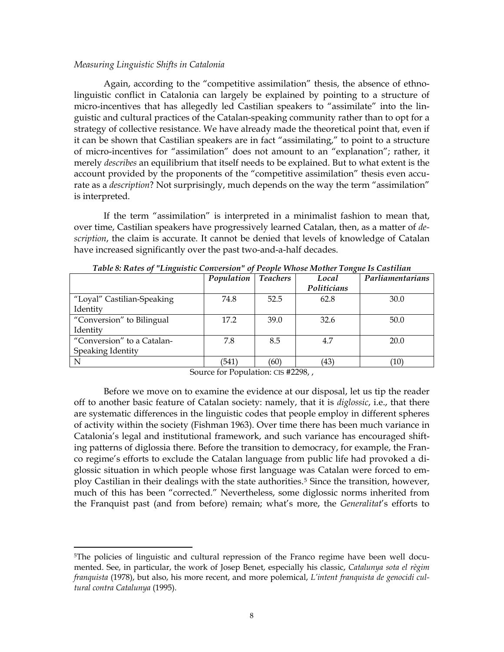## *Measuring Linguistic Shifts in Catalonia*

 $\overline{a}$ 

 Again, according to the "competitive assimilation" thesis, the absence of ethnolinguistic conflict in Catalonia can largely be explained by pointing to a structure of micro-incentives that has allegedly led Castilian speakers to "assimilate" into the linguistic and cultural practices of the Catalan-speaking community rather than to opt for a strategy of collective resistance. We have already made the theoretical point that, even if it can be shown that Castilian speakers are in fact "assimilating," to point to a structure of micro-incentives for "assimilation" does not amount to an "explanation"; rather, it merely *describes* an equilibrium that itself needs to be explained. But to what extent is the account provided by the proponents of the "competitive assimilation" thesis even accurate as a *description*? Not surprisingly, much depends on the way the term "assimilation" is interpreted.

 If the term "assimilation" is interpreted in a minimalist fashion to mean that, over time, Castilian speakers have progressively learned Catalan, then, as a matter of *description*, the claim is accurate. It cannot be denied that levels of knowledge of Catalan have increased significantly over the past two-and-a-half decades.

|                            | Population | <b>Teachers</b> | Local       | Parliamentarians  |
|----------------------------|------------|-----------------|-------------|-------------------|
|                            |            |                 | Politicians |                   |
| "Loyal" Castilian-Speaking | 74.8       | 52.5            | 62.8        | 30.0              |
| Identity                   |            |                 |             |                   |
| "Conversion" to Bilingual  | 17.2       | 39.0            | 32.6        | 50.0              |
| Identity                   |            |                 |             |                   |
| "Conversion" to a Catalan- | 7.8        | 8.5             | 4.7         | 20.0              |
| Speaking Identity          |            |                 |             |                   |
| N                          | (541`      | (60)            | (43)        | $\left(10\right)$ |

*Table 8: Rates of "Linguistic Conversion" of People Whose Mother Tongue Is Castilian* 

Source for Population: CIS #2298, ,

 Before we move on to examine the evidence at our disposal, let us tip the reader off to another basic feature of Catalan society: namely, that it is *diglossic*, i.e., that there are systematic differences in the linguistic codes that people employ in different spheres of activity within the society (Fishman 1963). Over time there has been much variance in Catalonia's legal and institutional framework, and such variance has encouraged shifting patterns of diglossia there. Before the transition to democracy, for example, the Franco regime's efforts to exclude the Catalan language from public life had provoked a diglossic situation in which people whose first language was Catalan were forced to em-ploy Castilian in their dealings with the state authorities.<sup>[5](#page-8-0)</sup> Since the transition, however, much of this has been "corrected." Nevertheless, some diglossic norms inherited from the Franquist past (and from before) remain; what's more, the *Generalitat*'s efforts to

<span id="page-8-0"></span><sup>&</sup>lt;sup>5</sup>The policies of linguistic and cultural repression of the Franco regime have been well documented. See, in particular, the work of Josep Benet, especially his classic, *Catalunya sota el règim franquista* (1978), but also, his more recent, and more polemical, *L'intent franquista de genocidi cultural contra Catalunya* (1995).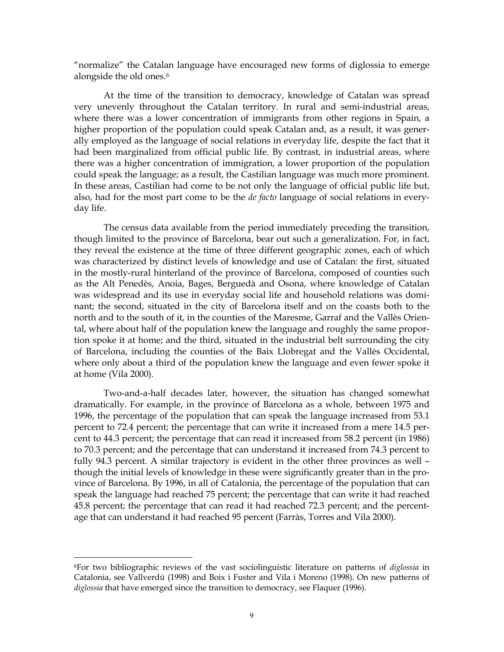"normalize" the Catalan language have encouraged new forms of diglossia to emerge alongside the old ones.<sup>[6](#page-9-0)</sup>

 At the time of the transition to democracy, knowledge of Catalan was spread very unevenly throughout the Catalan territory. In rural and semi-industrial areas, where there was a lower concentration of immigrants from other regions in Spain, a higher proportion of the population could speak Catalan and, as a result, it was generally employed as the language of social relations in everyday life, despite the fact that it had been marginalized from official public life. By contrast, in industrial areas, where there was a higher concentration of immigration, a lower proportion of the population could speak the language; as a result, the Castilian language was much more prominent. In these areas, Castilian had come to be not only the language of official public life but, also, had for the most part come to be the *de facto* language of social relations in everyday life.

 The census data available from the period immediately preceding the transition, though limited to the province of Barcelona, bear out such a generalization. For, in fact, they reveal the existence at the time of three different geographic zones, each of which was characterized by distinct levels of knowledge and use of Catalan: the first, situated in the mostly-rural hinterland of the province of Barcelona, composed of counties such as the Alt Penedès, Anoia, Bages, Berguedà and Osona, where knowledge of Catalan was widespread and its use in everyday social life and household relations was dominant; the second, situated in the city of Barcelona itself and on the coasts both to the north and to the south of it, in the counties of the Maresme, Garraf and the Vallès Oriental, where about half of the population knew the language and roughly the same proportion spoke it at home; and the third, situated in the industrial belt surrounding the city of Barcelona, including the counties of the Baix Llobregat and the Vallès Occidental, where only about a third of the population knew the language and even fewer spoke it at home (Vila 2000).

 Two-and-a-half decades later, however, the situation has changed somewhat dramatically. For example, in the province of Barcelona as a whole, between 1975 and 1996, the percentage of the population that can speak the language increased from 53.1 percent to 72.4 percent; the percentage that can write it increased from a mere 14.5 percent to 44.3 percent; the percentage that can read it increased from 58.2 percent (in 1986) to 70.3 percent; and the percentage that can understand it increased from 74.3 percent to fully 94.3 percent. A similar trajectory is evident in the other three provinces as well – though the initial levels of knowledge in these were significantly greater than in the province of Barcelona. By 1996, in all of Catalonia, the percentage of the population that can speak the language had reached 75 percent; the percentage that can write it had reached 45.8 percent; the percentage that can read it had reached 72.3 percent; and the percentage that can understand it had reached 95 percent (Farràs, Torres and Vila 2000).

<span id="page-9-0"></span><sup>6</sup>For two bibliographic reviews of the vast sociolinguistic literature on patterns of *diglossia* in Catalonia, see Vallverdú (1998) and Boix i Fuster and Vila i Moreno (1998). On new patterns of *diglossia* that have emerged since the transition to democracy, see Flaquer (1996).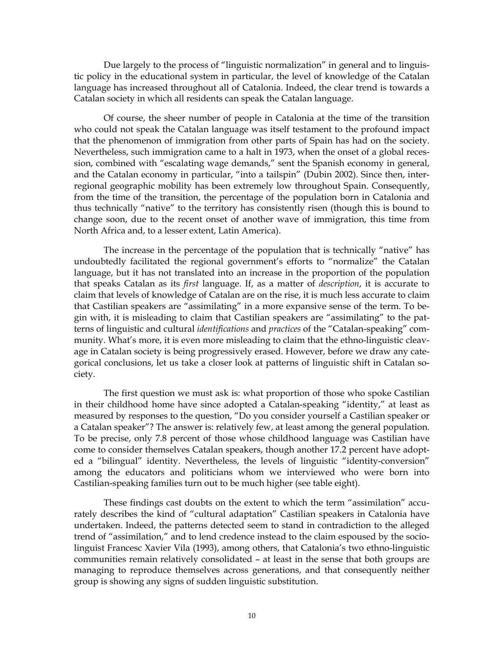Due largely to the process of "linguistic normalization" in general and to linguistic policy in the educational system in particular, the level of knowledge of the Catalan language has increased throughout all of Catalonia. Indeed, the clear trend is towards a Catalan society in which all residents can speak the Catalan language.

 Of course, the sheer number of people in Catalonia at the time of the transition who could not speak the Catalan language was itself testament to the profound impact that the phenomenon of immigration from other parts of Spain has had on the society. Nevertheless, such immigration came to a halt in 1973, when the onset of a global recession, combined with "escalating wage demands," sent the Spanish economy in general, and the Catalan economy in particular, "into a tailspin" (Dubin 2002). Since then, interregional geographic mobility has been extremely low throughout Spain. Consequently, from the time of the transition, the percentage of the population born in Catalonia and thus technically "native" to the territory has consistently risen (though this is bound to change soon, due to the recent onset of another wave of immigration, this time from North Africa and, to a lesser extent, Latin America).

 The increase in the percentage of the population that is technically "native" has undoubtedly facilitated the regional government's efforts to "normalize" the Catalan language, but it has not translated into an increase in the proportion of the population that speaks Catalan as its *first* language. If, as a matter of *description*, it is accurate to claim that levels of knowledge of Catalan are on the rise, it is much less accurate to claim that Castilian speakers are "assimilating" in a more expansive sense of the term. To begin with, it is misleading to claim that Castilian speakers are "assimilating" to the patterns of linguistic and cultural *identifications* and *practices* of the "Catalan-speaking" community. What's more, it is even more misleading to claim that the ethno-linguistic cleavage in Catalan society is being progressively erased. However, before we draw any categorical conclusions, let us take a closer look at patterns of linguistic shift in Catalan society.

 The first question we must ask is: what proportion of those who spoke Castilian in their childhood home have since adopted a Catalan-speaking "identity," at least as measured by responses to the question, "Do you consider yourself a Castilian speaker or a Catalan speaker"? The answer is: relatively few, at least among the general population. To be precise, only 7.8 percent of those whose childhood language was Castilian have come to consider themselves Catalan speakers, though another 17.2 percent have adopted a "bilingual" identity. Nevertheless, the levels of linguistic "identity-conversion" among the educators and politicians whom we interviewed who were born into Castilian-speaking families turn out to be much higher (see table eight).

 These findings cast doubts on the extent to which the term "assimilation" accurately describes the kind of "cultural adaptation" Castilian speakers in Catalonia have undertaken. Indeed, the patterns detected seem to stand in contradiction to the alleged trend of "assimilation," and to lend credence instead to the claim espoused by the sociolinguist Francesc Xavier Vila (1993), among others, that Catalonia's two ethno-linguistic communities remain relatively consolidated – at least in the sense that both groups are managing to reproduce themselves across generations, and that consequently neither group is showing any signs of sudden linguistic substitution.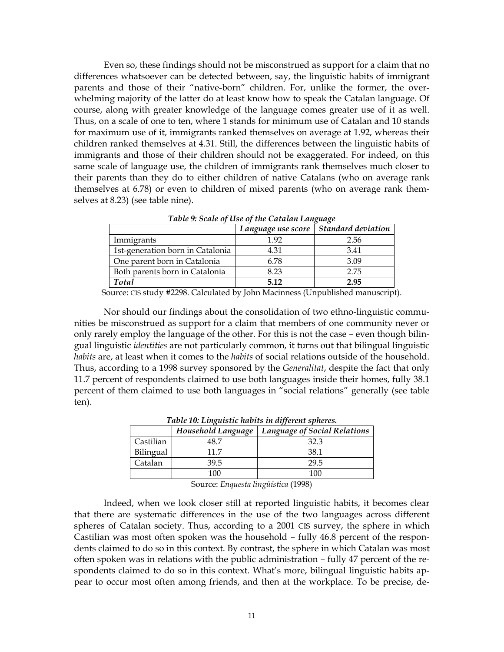Even so, these findings should not be misconstrued as support for a claim that no differences whatsoever can be detected between, say, the linguistic habits of immigrant parents and those of their "native-born" children. For, unlike the former, the overwhelming majority of the latter do at least know how to speak the Catalan language. Of course, along with greater knowledge of the language comes greater use of it as well. Thus, on a scale of one to ten, where 1 stands for minimum use of Catalan and 10 stands for maximum use of it, immigrants ranked themselves on average at 1.92, whereas their children ranked themselves at 4.31. Still, the differences between the linguistic habits of immigrants and those of their children should not be exaggerated. For indeed, on this same scale of language use, the children of immigrants rank themselves much closer to their parents than they do to either children of native Catalans (who on average rank themselves at 6.78) or even to children of mixed parents (who on average rank themselves at 8.23) (see table nine).

|                                  | Twore of Senice of the Cheminical Linguage |                                         |  |  |  |  |  |
|----------------------------------|--------------------------------------------|-----------------------------------------|--|--|--|--|--|
|                                  |                                            | Language use score   Standard deviation |  |  |  |  |  |
| Immigrants                       | 1.92                                       | 2.56                                    |  |  |  |  |  |
| 1st-generation born in Catalonia | 4.31                                       | 3.41                                    |  |  |  |  |  |
| One parent born in Catalonia     | 6.78                                       | 3.09                                    |  |  |  |  |  |
| Both parents born in Catalonia   | 8.23                                       | 2.75                                    |  |  |  |  |  |
| Total                            | 5.12                                       | 2.95                                    |  |  |  |  |  |

*Table 9: Scale of Use of the Catalan Language* 

Source: CIS study #2298. Calculated by John Macinness (Unpublished manuscript).

 Nor should our findings about the consolidation of two ethno-linguistic communities be misconstrued as support for a claim that members of one community never or only rarely employ the language of the other. For this is not the case – even though bilingual linguistic *identities* are not particularly common, it turns out that bilingual linguistic *habits* are, at least when it comes to the *habits* of social relations outside of the household. Thus, according to a 1998 survey sponsored by the *Generalitat*, despite the fact that only 11.7 percent of respondents claimed to use both languages inside their homes, fully 38.1 percent of them claimed to use both languages in "social relations" generally (see table ten).

|           | Household Language | <b>Language of Social Relations</b> |
|-----------|--------------------|-------------------------------------|
| Castilian | 48 7               | 32 3                                |
| Bilingual | 11 7               | 38.1                                |
| Catalan   | 39.5               | 29.5                                |
|           | 100                | 106                                 |

*Table 10: Linguistic habits in different spheres.* 

Source: *Enquesta lingüística* (1998)

 Indeed, when we look closer still at reported linguistic habits, it becomes clear that there are systematic differences in the use of the two languages across different spheres of Catalan society. Thus, according to a 2001 CIS survey, the sphere in which Castilian was most often spoken was the household – fully 46.8 percent of the respondents claimed to do so in this context. By contrast, the sphere in which Catalan was most often spoken was in relations with the public administration – fully 47 percent of the respondents claimed to do so in this context. What's more, bilingual linguistic habits appear to occur most often among friends, and then at the workplace. To be precise, de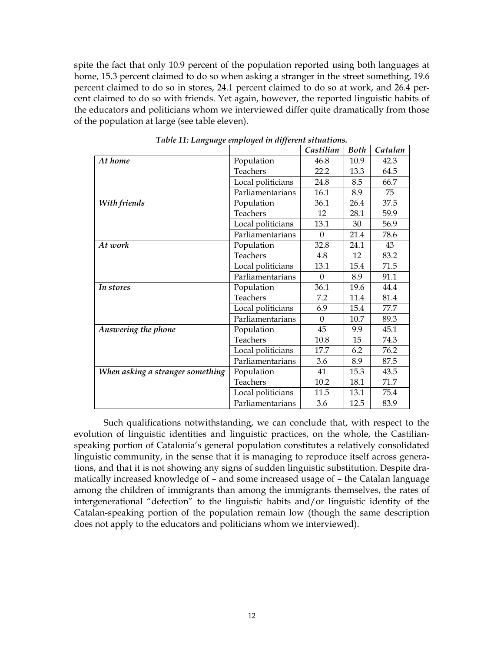spite the fact that only 10.9 percent of the population reported using both languages at home, 15.3 percent claimed to do so when asking a stranger in the street something, 19.6 percent claimed to do so in stores, 24.1 percent claimed to do so at work, and 26.4 percent claimed to do so with friends. Yet again, however, the reported linguistic habits of the educators and politicians whom we interviewed differ quite dramatically from those of the population at large (see table eleven).

|                                  |                   | Castilian | <b>Both</b> | Catalan |
|----------------------------------|-------------------|-----------|-------------|---------|
| At home                          | Population        | 46.8      | 10.9        | 42.3    |
|                                  | <b>Teachers</b>   | 22.2      | 13.3        | 64.5    |
|                                  | Local politicians | 24.8      | 8.5         | 66.7    |
|                                  | Parliamentarians  | 16.1      | 8.9         | 75      |
| With friends                     | Population        | 36.1      | 26.4        | 37.5    |
|                                  | Teachers          | 12        | 28.1        | 59.9    |
|                                  | Local politicians | 13.1      | 30          | 56.9    |
|                                  | Parliamentarians  | $\theta$  | 21.4        | 78.6    |
| At work                          | Population        | 32.8      | 24.1        | 43      |
|                                  | Teachers          | 4.8       | 12          | 83.2    |
|                                  | Local politicians | 13.1      | 15.4        | 71.5    |
|                                  | Parliamentarians  | $\Omega$  | 8.9         | 91.1    |
| In stores                        | Population        | 36.1      | 19.6        | 44.4    |
|                                  | Teachers          | 7.2       | 11.4        | 81.4    |
|                                  | Local politicians | 6.9       | 15.4        | 77.7    |
|                                  | Parliamentarians  | $\Omega$  | 10.7        | 89.3    |
| Answering the phone              | Population        | 45        | 9.9         | 45.1    |
|                                  | Teachers          | 10.8      | 15          | 74.3    |
|                                  | Local politicians | 17.7      | 6.2         | 76.2    |
|                                  | Parliamentarians  | 3.6       | 8.9         | 87.5    |
| When asking a stranger something | Population        | 41        | 15.3        | 43.5    |
|                                  | Teachers          | 10.2      | 18.1        | 71.7    |
|                                  | Local politicians | 11.5      | 13.1        | 75.4    |
|                                  | Parliamentarians  | 3.6       | 12.5        | 83.9    |

*Table 11: Language employed in different situations.* 

 Such qualifications notwithstanding, we can conclude that, with respect to the evolution of linguistic identities and linguistic practices, on the whole, the Castilianspeaking portion of Catalonia's general population constitutes a relatively consolidated linguistic community, in the sense that it is managing to reproduce itself across generations, and that it is not showing any signs of sudden linguistic substitution. Despite dramatically increased knowledge of – and some increased usage of – the Catalan language among the children of immigrants than among the immigrants themselves, the rates of intergenerational "defection" to the linguistic habits and/or linguistic identity of the Catalan-speaking portion of the population remain low (though the same description does not apply to the educators and politicians whom we interviewed).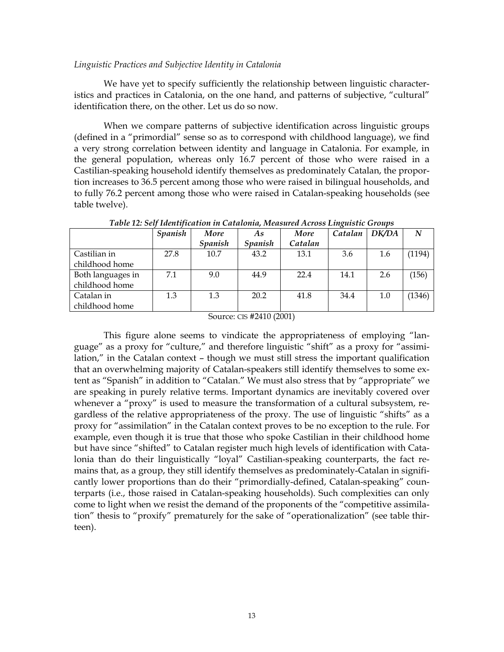# *Linguistic Practices and Subjective Identity in Catalonia*

 We have yet to specify sufficiently the relationship between linguistic characteristics and practices in Catalonia, on the one hand, and patterns of subjective, "cultural" identification there, on the other. Let us do so now.

 When we compare patterns of subjective identification across linguistic groups (defined in a "primordial" sense so as to correspond with childhood language), we find a very strong correlation between identity and language in Catalonia. For example, in the general population, whereas only 16.7 percent of those who were raised in a Castilian-speaking household identify themselves as predominately Catalan, the proportion increases to 36.5 percent among those who were raised in bilingual households, and to fully 76.2 percent among those who were raised in Catalan-speaking households (see table twelve).

|                   | <b>Spanish</b> | More           | As                    | More    | Catalan | DK/DA | N      |
|-------------------|----------------|----------------|-----------------------|---------|---------|-------|--------|
|                   |                | <b>Spanish</b> | <i><b>Spanish</b></i> | Catalan |         |       |        |
| Castilian in      | 27.8           | 10.7           | 43.2                  | 13.1    | 3.6     | 1.6   | (1194) |
| childhood home    |                |                |                       |         |         |       |        |
| Both languages in | 7.1            | 9.0            | 44.9                  | 22.4    | 14.1    | 2.6   | (156)  |
| childhood home    |                |                |                       |         |         |       |        |
| Catalan in        | 1.3            | 1.3            | 20.2                  | 41.8    | 34.4    | 1.0   | (1346) |
| childhood home    |                |                |                       |         |         |       |        |

*Table 12: Self Identification in Catalonia, Measured Across Linguistic Groups*

Source: CIS #2410 (2001)

 This figure alone seems to vindicate the appropriateness of employing "language" as a proxy for "culture," and therefore linguistic "shift" as a proxy for "assimilation," in the Catalan context – though we must still stress the important qualification that an overwhelming majority of Catalan-speakers still identify themselves to some extent as "Spanish" in addition to "Catalan." We must also stress that by "appropriate" we are speaking in purely relative terms. Important dynamics are inevitably covered over whenever a "proxy" is used to measure the transformation of a cultural subsystem, regardless of the relative appropriateness of the proxy. The use of linguistic "shifts" as a proxy for "assimilation" in the Catalan context proves to be no exception to the rule. For example, even though it is true that those who spoke Castilian in their childhood home but have since "shifted" to Catalan register much high levels of identification with Catalonia than do their linguistically "loyal" Castilian-speaking counterparts, the fact remains that, as a group, they still identify themselves as predominately-Catalan in significantly lower proportions than do their "primordially-defined, Catalan-speaking" counterparts (i.e., those raised in Catalan-speaking households). Such complexities can only come to light when we resist the demand of the proponents of the "competitive assimilation" thesis to "proxify" prematurely for the sake of "operationalization" (see table thirteen).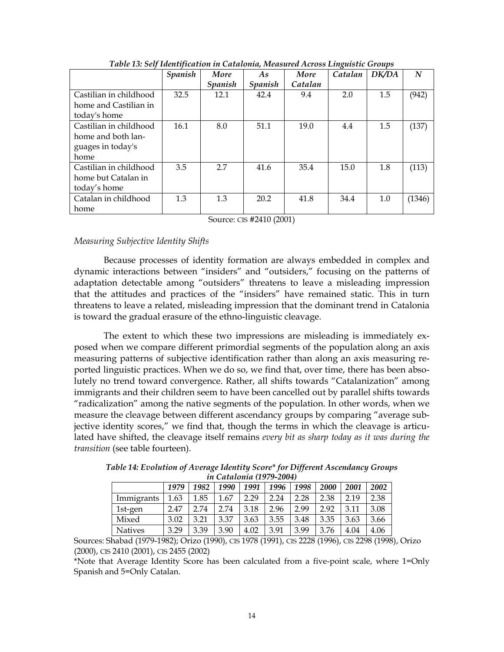|                        | <b>Spanish</b> | More    | As      | More    | Catalan | DK/DA | N      |
|------------------------|----------------|---------|---------|---------|---------|-------|--------|
|                        |                | Spanish | Spanish | Catalan |         |       |        |
| Castilian in childhood | 32.5           | 12.1    | 42.4    | 9.4     | 2.0     | 1.5   | (942)  |
| home and Castilian in  |                |         |         |         |         |       |        |
| today's home           |                |         |         |         |         |       |        |
| Castilian in childhood | 16.1           | 8.0     | 51.1    | 19.0    | 4.4     | 1.5   | (137)  |
| home and both lan-     |                |         |         |         |         |       |        |
| guages in today's      |                |         |         |         |         |       |        |
| home                   |                |         |         |         |         |       |        |
| Castilian in childhood | 3.5            | 2.7     | 41.6    | 35.4    | 15.0    | 1.8   | (113)  |
| home but Catalan in    |                |         |         |         |         |       |        |
| today's home           |                |         |         |         |         |       |        |
| Catalan in childhood   | 1.3            | 1.3     | 20.2    | 41.8    | 34.4    | 1.0   | (1346) |
| home                   |                |         |         |         |         |       |        |

*Table 13: Self Identification in Catalonia, Measured Across Linguistic Groups* 

Source: CIS #2410 (2001)

# *Measuring Subjective Identity Shifts*

 Because processes of identity formation are always embedded in complex and dynamic interactions between "insiders" and "outsiders," focusing on the patterns of adaptation detectable among "outsiders" threatens to leave a misleading impression that the attitudes and practices of the "insiders" have remained static. This in turn threatens to leave a related, misleading impression that the dominant trend in Catalonia is toward the gradual erasure of the ethno-linguistic cleavage.

 The extent to which these two impressions are misleading is immediately exposed when we compare different primordial segments of the population along an axis measuring patterns of subjective identification rather than along an axis measuring reported linguistic practices. When we do so, we find that, over time, there has been absolutely no trend toward convergence. Rather, all shifts towards "Catalanization" among immigrants and their children seem to have been cancelled out by parallel shifts towards "radicalization" among the native segments of the population. In other words, when we measure the cleavage between different ascendancy groups by comparing "average subjective identity scores," we find that, though the terms in which the cleavage is articulated have shifted, the cleavage itself remains *every bit as sharp today as it was during the transition* (see table fourteen).

| <i>ul Chiulonia (1979-2004)</i> |      |      |      |      |      |      |             |      |      |
|---------------------------------|------|------|------|------|------|------|-------------|------|------|
|                                 | 1979 | 1982 | 1990 | 1991 | 1996 | 1998 | <b>2000</b> | 2001 | 2002 |
| Immigrants                      | 1.63 | 1.85 | 1.67 | 2.29 | 2.24 | 2.28 | 2.38        | 2.19 | 2.38 |
| 1st-gen                         | 2.47 | 2.74 | 2.74 | 3.18 | 2.96 | 2.99 | 2.92        | 3.11 | 3.08 |
| Mixed                           | 3.02 | 3.21 | 3.37 | 3.63 | 3.55 | 3.48 | 3.35        | 3.63 | 3.66 |
| <b>Natives</b>                  | 3.29 | 3.39 | 3.90 | 4.02 | 3.91 | 3.99 | 3.76        | 4.04 | 4.06 |

*Table 14: Evolution of Average Identity Score\* for Different Ascendancy Groups in Catalonia (1979-2004)* 

Sources: Shabad (1979-1982); Orizo (1990), CIS 1978 (1991), CIS 2228 (1996), CIS 2298 (1998), Orizo (2000), CIS 2410 (2001), CIS 2455 (2002)

\*Note that Average Identity Score has been calculated from a five-point scale, where 1=Only Spanish and 5=Only Catalan.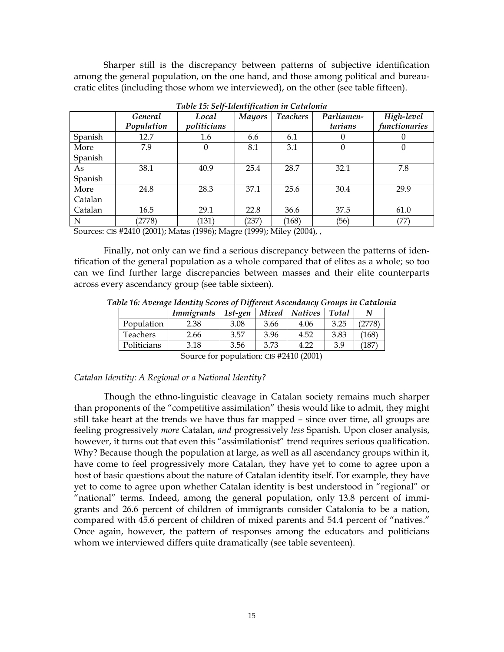Sharper still is the discrepancy between patterns of subjective identification among the general population, on the one hand, and those among political and bureaucratic elites (including those whom we interviewed), on the other (see table fifteen).

|         | General    | Local       | <b>Mayors</b> | <b>Teachers</b> | Parliamen- | High-level    |
|---------|------------|-------------|---------------|-----------------|------------|---------------|
|         | Population | politicians |               |                 | tarians    | functionaries |
| Spanish | 12.7       | 1.6         | 6.6           | 6.1             | 0          | $\theta$      |
| More    | 7.9        | $\theta$    | 8.1           | 3.1             | $\theta$   | $\theta$      |
| Spanish |            |             |               |                 |            |               |
| As      | 38.1       | 40.9        | 25.4          | 28.7            | 32.1       | 7.8           |
| Spanish |            |             |               |                 |            |               |
| More    | 24.8       | 28.3        | 37.1          | 25.6            | 30.4       | 29.9          |
| Catalan |            |             |               |                 |            |               |
| Catalan | 16.5       | 29.1        | 22.8          | 36.6            | 37.5       | 61.0          |
| N       | (2778)     | (131)       | (237)         | (168)           | (56)       | (77)          |

*Table 15: Self-Identification in Catalonia*

Sources: CIS #2410 (2001); Matas (1996); Magre (1999); Miley (2004), ,

 Finally, not only can we find a serious discrepancy between the patterns of identification of the general population as a whole compared that of elites as a whole; so too can we find further large discrepancies between masses and their elite counterparts across every ascendancy group (see table sixteen).

*Table 16: Average Identity Scores of Different Ascendancy Groups in Catalonia* 

|                                         | <b>Immigrants</b> | 1st-gen | Mixed | <b>Natives</b> | Total | N      |  |  |
|-----------------------------------------|-------------------|---------|-------|----------------|-------|--------|--|--|
| Population                              | 2.38              | 3.08    | 3.66  | 4.06           | 3.25  | '2778' |  |  |
| Teachers                                | 2.66              | 3.57    | 3.96  | 4.52           | 3.83  | (168)  |  |  |
| Politicians                             | 3.18              | 3.56    | 3.73  | 4.22           | 3.9   | 187    |  |  |
| Source for population: CIS #2410 (2001) |                   |         |       |                |       |        |  |  |

# *Catalan Identity: A Regional or a National Identity?*

 Though the ethno-linguistic cleavage in Catalan society remains much sharper than proponents of the "competitive assimilation" thesis would like to admit, they might still take heart at the trends we have thus far mapped – since over time, all groups are feeling progressively *more* Catalan, *and* progressively *less* Spanish. Upon closer analysis, however, it turns out that even this "assimilationist" trend requires serious qualification. Why? Because though the population at large, as well as all ascendancy groups within it, have come to feel progressively more Catalan, they have yet to come to agree upon a host of basic questions about the nature of Catalan identity itself. For example, they have yet to come to agree upon whether Catalan identity is best understood in "regional" or "national" terms. Indeed, among the general population, only 13.8 percent of immigrants and 26.6 percent of children of immigrants consider Catalonia to be a nation, compared with 45.6 percent of children of mixed parents and 54.4 percent of "natives." Once again, however, the pattern of responses among the educators and politicians whom we interviewed differs quite dramatically (see table seventeen).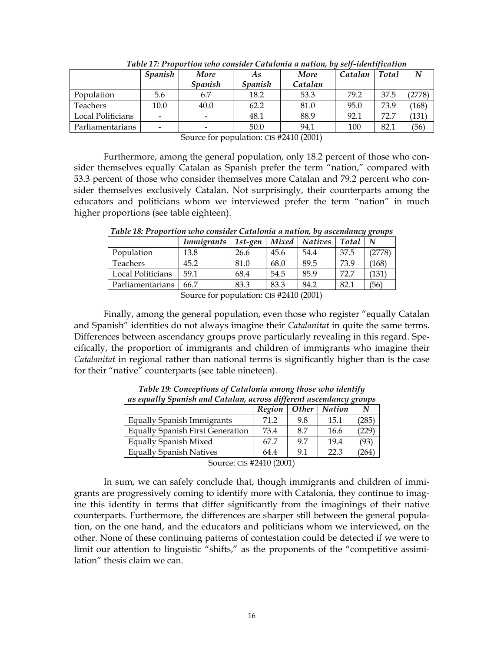|                   | <b>Spanish</b>           | More                  | As      | More    | Catalan | <b>Total</b> | N      |
|-------------------|--------------------------|-----------------------|---------|---------|---------|--------------|--------|
|                   |                          | <i><b>Spanish</b></i> | Spanish | Catalan |         |              |        |
| Population        | 5.6                      | 6.7                   | 18.2    | 53.3    | 79.2    | 37.5         | (2778) |
| Teachers          | 10.0                     | 40.0                  | 62.2    | 81.0    | 95.0    | 73.9         | (168)  |
| Local Politicians | $\overline{\phantom{a}}$ |                       | 48.1    | 88.9    | 92.1    | 72.7         | (131   |
| Parliamentarians  | $\overline{\phantom{a}}$ |                       | 50.0    | 94.1    | 100     | 82.1         | (56)   |

*Table 17: Proportion who consider Catalonia a nation, by self-identification*

Source for population: CIS #2410 (2001)

 Furthermore, among the general population, only 18.2 percent of those who consider themselves equally Catalan as Spanish prefer the term "nation," compared with 53.3 percent of those who consider themselves more Catalan and 79.2 percent who consider themselves exclusively Catalan. Not surprisingly, their counterparts among the educators and politicians whom we interviewed prefer the term "nation" in much higher proportions (see table eighteen).

|                   | <b>Immigrants</b> | 1st-gen | Mixed | <b>Natives</b> | Total |        |
|-------------------|-------------------|---------|-------|----------------|-------|--------|
| Population        | 13.8              | 26.6    | 45.6  | 54.4           | 37.5  | (2778) |
| <b>Teachers</b>   | 45.2              | 81.0    | 68.0  | 89.5           | 73.9  | (168)  |
| Local Politicians | 59.1              | 68.4    | 54.5  | 85.9           | 72.7  | 131    |
| Parliamentarians  | 66.7              | 83.3    | 83.3  | 84.2           | 82.1  | (56)   |

*Table 18: Proportion who consider Catalonia a nation, by ascendancy groups* 

Source for population: CIS #2410 (2001)

 Finally, among the general population, even those who register "equally Catalan and Spanish" identities do not always imagine their *Catalanitat* in quite the same terms. Differences between ascendancy groups prove particularly revealing in this regard. Specifically, the proportion of immigrants and children of immigrants who imagine their *Catalanitat* in regional rather than national terms is significantly higher than is the case for their "native" counterparts (see table nineteen).

| из суниту эриптэн ини ситинин, исгозэ игдсгент изсеништер хгоирэ |        |       |               |     |  |  |  |  |
|------------------------------------------------------------------|--------|-------|---------------|-----|--|--|--|--|
|                                                                  | Region | Other | <b>Nation</b> |     |  |  |  |  |
| <b>Equally Spanish Immigrants</b>                                | 71.2   | 9.8   | 15.1          | 285 |  |  |  |  |
| <b>Equally Spanish First Generation</b>                          | 73.4   | 8.7   | 16.6          |     |  |  |  |  |
| Equally Spanish Mixed                                            | 67.7   | 97    | 19.4          | (93 |  |  |  |  |
| <b>Equally Spanish Natives</b>                                   | 64.4   | 9.1   | 22.3          | 264 |  |  |  |  |
| $C = \frac{10}{42}$                                              |        |       |               |     |  |  |  |  |

*Table 19: Conceptions of Catalonia among those who identify as equally Spanish and Catalan, across different ascendancy groups* 

Source: CIS #2410 (2001)

 In sum, we can safely conclude that, though immigrants and children of immigrants are progressively coming to identify more with Catalonia, they continue to imagine this identity in terms that differ significantly from the imaginings of their native counterparts. Furthermore, the differences are sharper still between the general population, on the one hand, and the educators and politicians whom we interviewed, on the other. None of these continuing patterns of contestation could be detected if we were to limit our attention to linguistic "shifts," as the proponents of the "competitive assimilation" thesis claim we can.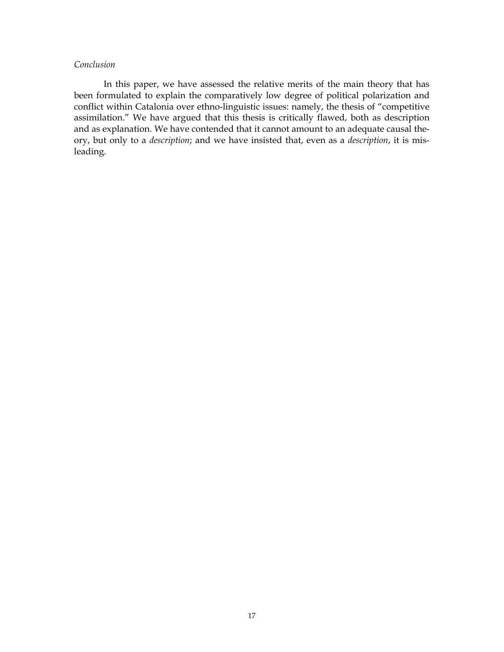# *Conclusion*

 In this paper, we have assessed the relative merits of the main theory that has been formulated to explain the comparatively low degree of political polarization and conflict within Catalonia over ethno-linguistic issues: namely, the thesis of "competitive assimilation." We have argued that this thesis is critically flawed, both as description and as explanation. We have contended that it cannot amount to an adequate causal theory, but only to a *description*; and we have insisted that, even as a *description*, it is misleading.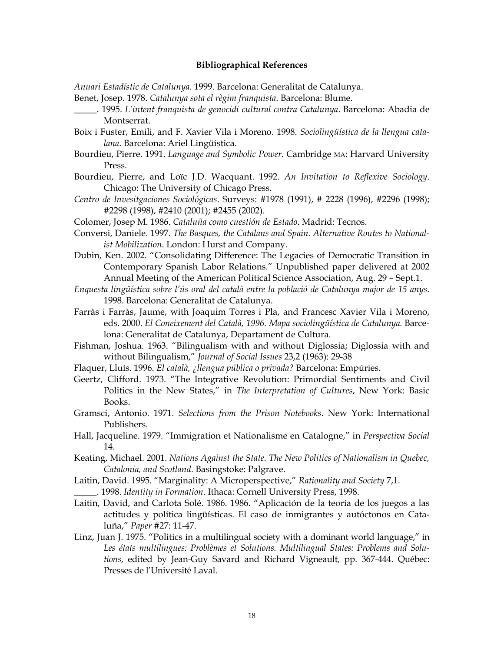## **Bibliographical References**

*Anuari Estadístic de Catalunya*. 1999. Barcelona: Generalitat de Catalunya.

- Benet, Josep. 1978. *Catalunya sota el règim franquista*. Barcelona: Blume.
- \_\_\_\_\_. 1995. *L'intent franquista de genocidi cultural contra Catalunya*. Barcelona: Abadia de Montserrat.
- Boix i Fuster, Emili, and F. Xavier Vila i Moreno. 1998. *Sociolingüística de la llengua catalana*. Barcelona: Ariel Lingüística.
- Bourdieu, Pierre. 1991. *Language and Symbolic Power*. Cambridge MA: Harvard University Press.
- Bourdieu, Pierre, and Loïc J.D. Wacquant. 1992. *An Invitation to Reflexive Sociology*. Chicago: The University of Chicago Press.
- *Centro de Invesitgaciones Sociológicas*. Surveys: #1978 (1991), # 2228 (1996), #2296 (1998); #2298 (1998), #2410 (2001); #2455 (2002).
- Colomer, Josep M. 1986. *Cataluña como cuestión de Estado*. Madrid: Tecnos.
- Conversi, Daniele. 1997. *The Basques, the Catalans and Spain. Alternative Routes to Nationalist Mobilization*. London: Hurst and Company.
- Dubin, Ken. 2002. "Consolidating Difference: The Legacies of Democratic Transition in Contemporary Spanish Labor Relations." Unpublished paper delivered at 2002 Annual Meeting of the American Political Science Association, Aug. 29 – Sept.1.
- *Enquesta lingüística sobre l'ús oral del català entre la població de Catalunya major de 15 anys*. 1998. Barcelona: Generalitat de Catalunya.
- Farràs i Farràs, Jaume, with Joaquim Torres i Pla, and Francesc Xavier Vila i Moreno, eds. 2000. *El Coneixement del Català, 1996. Mapa sociolingüística de Catalunya*. Barcelona: Generalitat de Catalunya, Departament de Cultura.
- Fishman, Joshua. 1963. "Bilingualism with and without Diglossia; Diglossia with and without Bilingualism," *Journal of Social Issues* 23,2 (1963): 29-38
- Flaquer, Lluís. 1996. *El català, ¿llengua pública o privada?* Barcelona: Empúries.
- Geertz, Clifford. 1973. "The Integrative Revolution: Primordial Sentiments and Civil Politics in the New States," in *The Interpretation of Cultures*, New York: Basic Books.
- Gramsci, Antonio. 1971. *Selections from the Prison Notebooks*. New York: International Publishers.
- Hall, Jacqueline. 1979. "Immigration et Nationalisme en Catalogne," in *Perspectiva Social* 14.
- Keating, Michael. 2001. *Nations Against the State. The New Politics of Nationalism in Quebec, Catalonia, and Scotland*. Basingstoke: Palgrave.
- Laitin, David. 1995. "Marginality: A Microperspective," *Rationality and Society* 7,1. \_\_\_\_\_. 1998. *Identity in Formation*. Ithaca: Cornell University Press, 1998.
- Laitin, David, and Carlota Solé. 1986. 1986. "Aplicación de la teoría de los juegos a las actitudes y política lingüísticas. El caso de inmigrantes y autóctonos en Cataluña," *Paper* #27: 11-47.
- Linz, Juan J. 1975. "Politics in a multilingual society with a dominant world language," in *Les états multilingues: Problèmes et Solutions. Multilingual States: Problems and Solutions*, edited by Jean-Guy Savard and Richard Vigneault, pp. 367-444. Québec: Presses de l'Université Laval.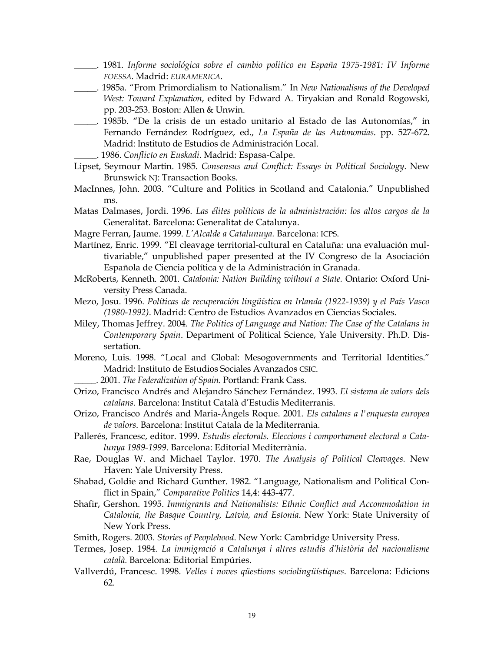- \_\_\_\_\_. 1981. *Informe sociológica sobre el cambio politico en España 1975-1981: IV Informe FOESSA.* Madrid: *EURAMERICA*.
- \_\_\_\_\_. 1985a. "From Primordialism to Nationalism." In *New Nationalisms of the Developed West: Toward Explanation*, edited by Edward A. Tiryakian and Ronald Rogowski, pp. 203-253. Boston: Allen & Unwin.
- \_\_\_\_\_. 1985b. "De la crisis de un estado unitario al Estado de las Autonomías," in Fernando Fernández Rodríguez, ed., *La España de las Autonomías*. pp. 527-672. Madrid: Instituto de Estudios de Administración Local.
	- \_\_\_\_\_. 1986. *Conflicto en Euskadi*. Madrid: Espasa-Calpe.
- Lipset, Seymour Martin. 1985. *Consensus and Conflict: Essays in Political Sociology*. New Brunswick NJ: Transaction Books.
- MacInnes, John. 2003. "Culture and Politics in Scotland and Catalonia." Unpublished ms.
- Matas Dalmases, Jordi. 1996. *Las élites políticas de la administración: los altos cargos de la*  Generalitat. Barcelona: Generalitat de Catalunya.
- Magre Ferran, Jaume. 1999. *L'Alcalde a Catalunuya.* Barcelona: ICPS.
- Martínez, Enric. 1999. "El cleavage territorial-cultural en Cataluña: una evaluación multivariable," unpublished paper presented at the IV Congreso de la Asociación Española de Ciencia política y de la Administración in Granada.
- McRoberts, Kenneth. 2001. *Catalonia: Nation Building without a State.* Ontario: Oxford University Press Canada.
- Mezo, Josu. 1996. *Políticas de recuperación lingüística en Irlanda (1922-1939) y el País Vasco (1980-1992)*. Madrid: Centro de Estudios Avanzados en Ciencias Sociales.
- Miley, Thomas Jeffrey. 2004. *The Politics of Language and Nation: The Case of the Catalans in Contemporary Spain*. Department of Political Science, Yale University. Ph.D. Dissertation.
- Moreno, Luis. 1998. "Local and Global: Mesogovernments and Territorial Identities." Madrid: Instituto de Estudios Sociales Avanzados CSIC.
	- \_\_\_\_\_. 2001. *The Federalization of Spain.* Portland: Frank Cass.
- Orizo, Francisco Andrés and Alejandro Sánchez Fernández. 1993. *El sistema de valors dels catalans*. Barcelona: Institut Català d'Estudis Mediterranis.
- Orizo, Francisco Andrés and Maria-Àngels Roque. 2001. *Els catalans a l'enquesta europea de valors*. Barcelona: Institut Catala de la Mediterrania.
- Pallerés, Francesc, editor. 1999. *Estudis electorals. Eleccions i comportament electoral a Catalunya 1989-1999*. Barcelona: Editorial Mediterrània.
- Rae, Douglas W. and Michael Taylor. 1970. *The Analysis of Political Cleavages*. New Haven: Yale University Press.
- Shabad, Goldie and Richard Gunther. 1982. "Language, Nationalism and Political Conflict in Spain," *Comparative Politics* 14,4: 443-477.
- Shafir, Gershon. 1995. *Immigrants and Nationalists: Ethnic Conflict and Accommodation in Catalonia, the Basque Country, Latvia, and Estonia*. New York: State University of New York Press.
- Smith, Rogers. 2003. *Stories of Peoplehood*. New York: Cambridge University Press.
- Termes, Josep. 1984. *La immigració a Catalunya i altres estudis d'història del nacionalisme català.* Barcelona: Editorial Empúries.
- Vallverdú, Francesc. 1998. *Velles i noves qüestions sociolingüístiques*. Barcelona: Edicions 62.